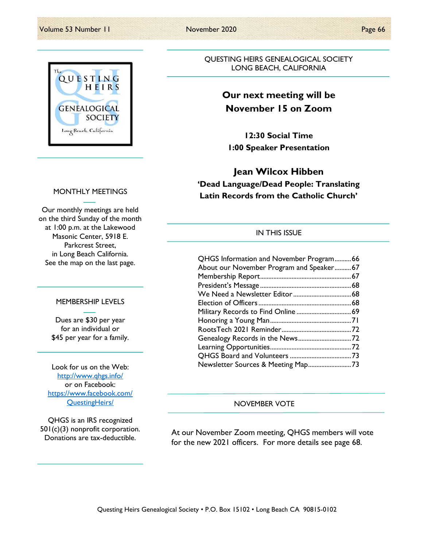

#### MONTHLY MEETINGS

Our monthly meetings are held on the third Sunday of the month at 1:00 p.m. at the Lakewood Masonic Center, 5918 E. Parkcrest Street, in Long Beach California. See the map on the last page.

#### MEMBERSHIP LEVELS

Dues are \$30 per year for an individual or \$45 per year for a family.

Look for us on the Web: http://www.qhgs.info/ or on Facebook: https://www.facebook.com/ QuestingHeirs/

QHGS is an IRS recognized 501(c)(3) nonprofit corporation. Donations are tax-deductible.

QUESTING HEIRS GENEALOGICAL SOCIETY LONG BEACH, CALIFORNIA

## Our next meeting will be November 15 on Zoom

12:30 Social Time 1:00 Speaker Presentation

## Jean Wilcox Hibben 'Dead Language/Dead People: Translating Latin Records from the Catholic Church'

#### IN THIS ISSUE

| QHGS Information and November Program66  |  |
|------------------------------------------|--|
| About our November Program and Speaker67 |  |
|                                          |  |
|                                          |  |
|                                          |  |
|                                          |  |
|                                          |  |
|                                          |  |
|                                          |  |
|                                          |  |
|                                          |  |
|                                          |  |
| Newsletter Sources & Meeting Map73       |  |

#### NOVEMBER VOTE

At our November Zoom meeting, QHGS members will vote for the new 2021 officers. For more details see page 68.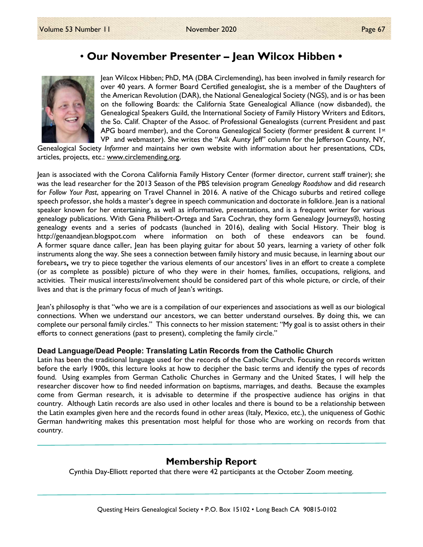## • Our November Presenter – Jean Wilcox Hibben •



Jean Wilcox Hibben; PhD, MA (DBA Circlemending), has been involved in family research for over 40 years. A former Board Certified genealogist, she is a member of the Daughters of the American Revolution (DAR), the National Genealogical Society (NGS), and is or has been on the following Boards: the California State Genealogical Alliance (now disbanded), the Genealogical Speakers Guild, the International Society of Family History Writers and Editors, the So. Calif. Chapter of the Assoc. of Professional Genealogists (current President and past APG board member), and the Corona Genealogical Society (former president  $\&$  current 1st VP and webmaster). She writes the "Ask Aunty Jeff" column for the Jefferson County, NY,

Genealogical Society Informer and maintains her own website with information about her presentations, CDs, articles, projects, etc.: www.circlemending.org.

Jean is associated with the Corona California Family History Center (former director, current staff trainer); she was the lead researcher for the 2013 Season of the PBS television program Genealogy Roadshow and did research for Follow Your Past, appearing on Travel Channel in 2016. A native of the Chicago suburbs and retired college speech professor, she holds a master's degree in speech communication and doctorate in folklore. Jean is a national speaker known for her entertaining, as well as informative, presentations, and is a frequent writer for various genealogy publications. With Gena Philibert-Ortega and Sara Cochran, they form Genealogy Journeys®, hosting genealogy events and a series of podcasts (launched in 2016), dealing with Social History. Their blog is http://genaandjean.blogspot.com where information on both of these endeavors can be found. A former square dance caller, Jean has been playing guitar for about 50 years, learning a variety of other folk instruments along the way. She sees a connection between family history and music because, in learning about our forebears, we try to piece together the various elements of our ancestors' lives in an effort to create a complete (or as complete as possible) picture of who they were in their homes, families, occupations, religions, and activities. Their musical interests/involvement should be considered part of this whole picture, or circle, of their lives and that is the primary focus of much of Jean's writings.

Jean's philosophy is that "who we are is a compilation of our experiences and associations as well as our biological connections. When we understand our ancestors, we can better understand ourselves. By doing this, we can complete our personal family circles." This connects to her mission statement: "My goal is to assist others in their efforts to connect generations (past to present), completing the family circle."

#### Dead Language/Dead People: Translating Latin Records from the Catholic Church

Latin has been the traditional language used for the records of the Catholic Church. Focusing on records written before the early 1900s, this lecture looks at how to decipher the basic terms and identify the types of records found. Using examples from German Catholic Churches in Germany and the United States, I will help the researcher discover how to find needed information on baptisms, marriages, and deaths. Because the examples come from German research, it is advisable to determine if the prospective audience has origins in that country. Although Latin records are also used in other locales and there is bound to be a relationship between the Latin examples given here and the records found in other areas (Italy, Mexico, etc.), the uniqueness of Gothic German handwriting makes this presentation most helpful for those who are working on records from that country.

### Membership Report

Cynthia Day-Elliott reported that there were 42 participants at the October Zoom meeting.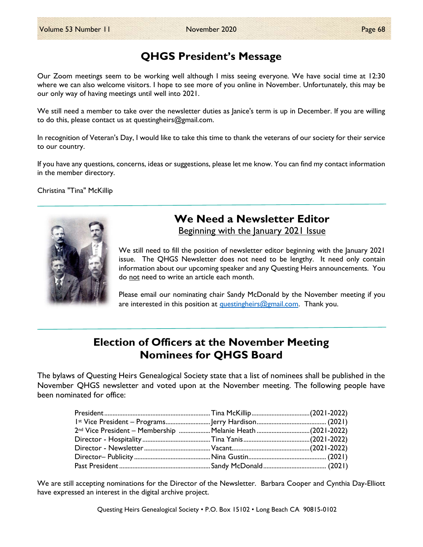## QHGS President's Message

Our Zoom meetings seem to be working well although I miss seeing everyone. We have social time at 12:30 where we can also welcome visitors. I hope to see more of you online in November. Unfortunately, this may be our only way of having meetings until well into 2021.

We still need a member to take over the newsletter duties as lanice's term is up in December. If you are willing to do this, please contact us at questingheirs@gmail.com.

In recognition of Veteran's Day, I would like to take this time to thank the veterans of our society for their service to our country.

If you have any questions, concerns, ideas or suggestions, please let me know. You can find my contact information in the member directory.

Christina "Tina" McKillip



# We Need a Newsletter Editor

Beginning with the January 2021 Issue

We still need to fill the position of newsletter editor beginning with the January 2021 issue. The QHGS Newsletter does not need to be lengthy. It need only contain information about our upcoming speaker and any Questing Heirs announcements. You do not need to write an article each month.

Please email our nominating chair Sandy McDonald by the November meeting if you are interested in this position at questingheirs@gmail.com. Thank you.

## Election of Officers at the November Meeting Nominees for QHGS Board

The bylaws of Questing Heirs Genealogical Society state that a list of nominees shall be published in the November QHGS newsletter and voted upon at the November meeting. The following people have been nominated for office:

| 2nd Vice President - Membership  Melanie Heath (2021-2022) |  |
|------------------------------------------------------------|--|
|                                                            |  |
|                                                            |  |
|                                                            |  |
|                                                            |  |

We are still accepting nominations for the Director of the Newsletter. Barbara Cooper and Cynthia Day-Elliott have expressed an interest in the digital archive project.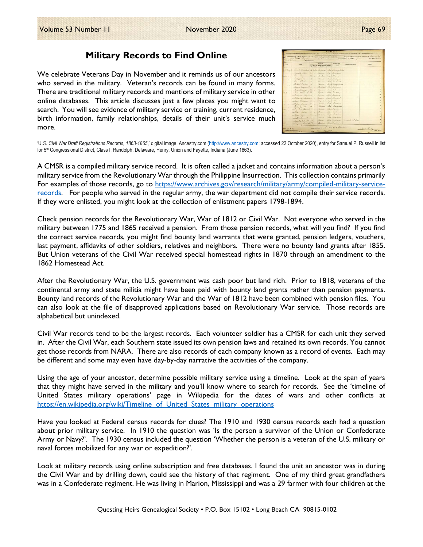### Military Records to Find Online

We celebrate Veterans Day in November and it reminds us of our ancestors who served in the military. Veteran's records can be found in many forms. There are traditional military records and mentions of military service in other online databases. This article discusses just a few places you might want to search. You will see evidence of military service or training, current residence, birth information, family relationships, details of their unit's service much more.

|         |                                                               |      |                 | <b>HARTER</b>                          | <b>But If you</b>                  |                                    |                |
|---------|---------------------------------------------------------------|------|-----------------|----------------------------------------|------------------------------------|------------------------------------|----------------|
| all and | <b>HAR</b>                                                    |      |                 | <b>All, Solt a Newsa Groupe Book a</b> | <b>Peace by ten Torms</b>          | <b>Pullacio accidente economic</b> | <b>BYBLESS</b> |
|         | well as the der translation the filed burtonte Ras Remargance |      |                 |                                        |                                    |                                    |                |
|         | educate toni de - Terrier                                     |      |                 |                                        | Les humans                         |                                    |                |
|         | Shee Sater                                                    |      | $55 - 1$        | Carpe Single Shows                     |                                    |                                    |                |
|         | . Beth Street                                                 |      | $\sim$          | Sugar                                  | Las, Indiana                       |                                    |                |
|         | Silver Sheelow 30 -                                           |      |                 |                                        | mourse Red Sudance                 |                                    |                |
|         | · antal Control                                               | V.   | a.              | Zarange                                | Sure Atlantichmine                 |                                    |                |
|         | 1 Sergen Bayment 2 24 " Rostant I'm Subsem                    |      |                 |                                        |                                    |                                    |                |
|         | · Rose Maiora                                                 | 14   | <b>Contract</b> | Same Car Indiana                       |                                    |                                    |                |
|         | · Reed William G. 28                                          |      |                 | Baromin where traceling                |                                    |                                    |                |
|         | 10 Billardson Millian II                                      |      |                 | Benite Sail Supranne                   |                                    |                                    |                |
|         | a Pintuden Leonard 20 .                                       |      |                 | France Sight Proposit                  |                                    |                                    |                |
|         | a Reed Williams 15 - Elizabeth Light Slevens                  |      |                 |                                        |                                    |                                    |                |
|         | William Same to                                               |      |                 |                                        | James Loyle Sadsonne               |                                    |                |
|         | in Riley Joseph 26 1.                                         |      |                 |                                        | Tamer Mar Indiana                  |                                    |                |
|         | William Sile Course B. L.F.                                   |      |                 | Carmer                                 | Sight dyles are                    |                                    |                |
|         | Margin School                                                 | ASC. | w               | Parmitt                                | <b><i>Colora Extentionisms</i></b> |                                    |                |
|         | of River last                                                 |      | ×.              | Farmer                                 | Jacob Ladieure                     |                                    |                |
|         | a Supell Samuel 1.                                            |      |                 | Farmer                                 | The Suiteness                      |                                    |                |
|         | 10 Secondles Calment 35                                       |      |                 |                                        | Bernier Smith Summer               | Minister To Conde                  |                |
| tini.   | a Redyinary Damitt 25 . Browse                                |      |                 |                                        | Bar Michause                       |                                    |                |

'U.S. Civil War Draft Registrations Records, 1863-1865,' digital image, Ancestry.com (http://www.ancestry.com; accessed 22 October 2020), entry for Samuel P. Russell in list for 5<sup>th</sup> Congressional District, Class I: Randolph, Delaware, Henry, Union and Fayette, Indiana (June 1863).

A CMSR is a compiled military service record. It is often called a jacket and contains information about a person's military service from the Revolutionary War through the Philippine Insurrection. This collection contains primarily For examples of those records, go to https://www.archives.gov/research/military/army/compiled-military-servicerecords. For people who served in the regular army, the war department did not compile their service records. If they were enlisted, you might look at the collection of enlistment papers 1798-1894.

Check pension records for the Revolutionary War, War of 1812 or Civil War. Not everyone who served in the military between 1775 and 1865 received a pension. From those pension records, what will you find? If you find the correct service records, you might find bounty land warrants that were granted, pension ledgers, vouchers, last payment, affidavits of other soldiers, relatives and neighbors. There were no bounty land grants after 1855. But Union veterans of the Civil War received special homestead rights in 1870 through an amendment to the 1862 Homestead Act.

After the Revolutionary War, the U.S. government was cash poor but land rich. Prior to 1818, veterans of the continental army and state militia might have been paid with bounty land grants rather than pension payments. Bounty land records of the Revolutionary War and the War of 1812 have been combined with pension files. You can also look at the file of disapproved applications based on Revolutionary War service. Those records are alphabetical but unindexed.

Civil War records tend to be the largest records. Each volunteer soldier has a CMSR for each unit they served in. After the Civil War, each Southern state issued its own pension laws and retained its own records. You cannot get those records from NARA. There are also records of each company known as a record of events. Each may be different and some may even have day-by-day narrative the activities of the company.

Using the age of your ancestor, determine possible military service using a timeline. Look at the span of years that they might have served in the military and you'll know where to search for records. See the 'timeline of United States military operations' page in Wikipedia for the dates of wars and other conflicts at https://en.wikipedia.org/wiki/Timeline\_of\_United\_States\_military\_operations

Have you looked at Federal census records for clues? The 1910 and 1930 census records each had a question about prior military service. In 1910 the question was 'Is the person a survivor of the Union or Confederate Army or Navy?'. The 1930 census included the question 'Whether the person is a veteran of the U.S. military or naval forces mobilized for any war or expedition?'.

Look at military records using online subscription and free databases. I found the unit an ancestor was in during the Civil War and by drilling down, could see the history of that regiment. One of my third great grandfathers was in a Confederate regiment. He was living in Marion, Mississippi and was a 29 farmer with four children at the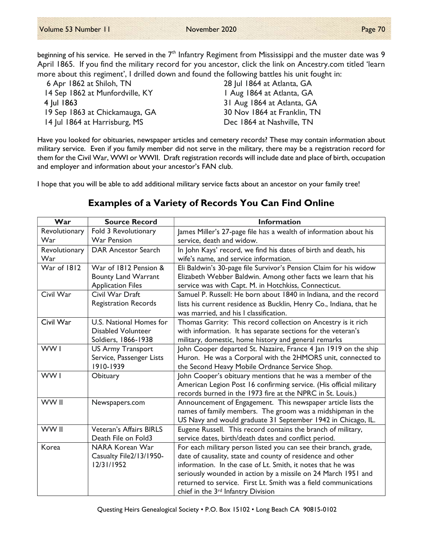beginning of his service. He served in the  $7^{\text{th}}$  Infantry Regiment from Mississippi and the muster date was 9 April 1865. If you find the military record for you ancestor, click the link on Ancestry.com titled 'learn more about this regiment', I drilled down and found the following battles his unit fought in:

| 6 Apr 1862 at Shiloh, TN        | 28 Jul 1864 at Atlanta, GA  |
|---------------------------------|-----------------------------|
| 14 Sep 1862 at Munfordville, KY | I Aug 1864 at Atlanta, GA   |
| 4 Jul 1863                      | 31 Aug 1864 at Atlanta, GA  |
| 19 Sep 1863 at Chickamauga, GA  | 30 Nov 1864 at Franklin, TN |
| 14 Jul 1864 at Harrisburg, MS   | Dec 1864 at Nashville, TN   |

Have you looked for obituaries, newspaper articles and cemetery records? These may contain information about military service. Even if you family member did not serve in the military, there may be a registration record for them for the Civil War, WWI or WWII. Draft registration records will include date and place of birth, occupation and employer and information about your ancestor's FAN club.

I hope that you will be able to add additional military service facts about an ancestor on your family tree!

## Examples of a Variety of Records You Can Find Online

| War           | <b>Source Record</b>        | <b>Information</b>                                                  |
|---------------|-----------------------------|---------------------------------------------------------------------|
| Revolutionary | Fold 3 Revolutionary        | James Miller's 27-page file has a wealth of information about his   |
| War           | War Pension                 | service, death and widow.                                           |
| Revolutionary | <b>DAR Ancestor Search</b>  | In John Kays' record, we find his dates of birth and death, his     |
| War           |                             | wife's name, and service information.                               |
| War of 1812   | War of 1812 Pension &       | Eli Baldwin's 30-page file Survivor's Pension Claim for his widow   |
|               | <b>Bounty Land Warrant</b>  | Elizabeth Webber Baldwin. Among other facts we learn that his       |
|               | <b>Application Files</b>    | service was with Capt. M. in Hotchkiss, Connecticut.                |
| Civil War     | Civil War Draft             | Samuel P. Russell: He born about 1840 in Indiana, and the record    |
|               | <b>Registration Records</b> | lists his current residence as Bucklin, Henry Co., Indiana, that he |
|               |                             | was married, and his I classification.                              |
| Civil War     | U.S. National Homes for     | Thomas Garrity: This record collection on Ancestry is it rich       |
|               | <b>Disabled Volunteer</b>   | with information. It has separate sections for the veteran's        |
|               | Soldiers, 1866-1938         | military, domestic, home history and general remarks                |
| WW1           | <b>US Army Transport</b>    | John Cooper departed St. Nazaire, France 4 Jan 1919 on the ship     |
|               | Service, Passenger Lists    | Huron. He was a Corporal with the 2HMORS unit, connected to         |
|               | 1910-1939                   | the Second Heavy Mobile Ordnance Service Shop.                      |
| WW1           | Obituary                    | John Cooper's obituary mentions that he was a member of the         |
|               |                             | American Legion Post 16 confirming service. (His official military  |
|               |                             | records burned in the 1973 fire at the NPRC in St. Louis.)          |
| WW II         | Newspapers.com              | Announcement of Engagement. This newspaper article lists the        |
|               |                             | names of family members. The groom was a midshipman in the          |
|               |                             | US Navy and would graduate 31 September 1942 in Chicago, IL.        |
| WW II         | Veteran's Affairs BIRLS     | Eugene Russell. This record contains the branch of military,        |
|               | Death File on Fold3         | service dates, birth/death dates and conflict period.               |
| Korea         | <b>NARA Korean War</b>      | For each military person listed you can see their branch, grade,    |
|               | Casualty File2/13/1950-     | date of causality, state and county of residence and other          |
|               | 12/31/1952                  | information. In the case of Lt. Smith, it notes that he was         |
|               |                             | seriously wounded in action by a missile on 24 March 1951 and       |
|               |                             | returned to service. First Lt. Smith was a field communications     |
|               |                             | chief in the 3 <sup>rd</sup> Infantry Division                      |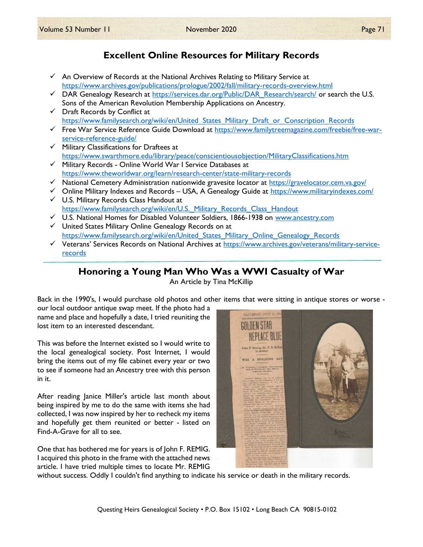## Excellent Online Resources for Military Records

- $\checkmark$  An Overview of Records at the National Archives Relating to Military Service at https://www.archives.gov/publications/prologue/2002/fall/military-records-overview.html
- $\checkmark$  DAR Genealogy Research at https://services.dar.org/Public/DAR\_Research/search/ or search the U.S. Sons of the American Revolution Membership Applications on Ancestry.
- $\checkmark$  Draft Records by Conflict at https://www.familysearch.org/wiki/en/United States Military Draft or Conscription Records
- $\checkmark$  Free War Service Reference Guide Download at https://www.familytreemagazine.com/freebie/free-warservice-reference-guide/
- $\checkmark$  Military Classifications for Draftees at https://www.swarthmore.edu/library/peace/conscientiousobjection/MilitaryClassifications.htm
- $\checkmark$  Military Records Online World War I Service Databases at https://www.theworldwar.org/learn/research-center/state-military-records
- National Cemetery Administration nationwide gravesite locator at https://gravelocator.cem.va.gov/
- $\checkmark$  Online Military Indexes and Records USA, A Genealogy Guide at https://www.militaryindexes.com/ U.S. Military Records Class Handout at

https://www.familysearch.org/wiki/en/U.S. Military Records Class Handout

- U.S. National Homes for Disabled Volunteer Soldiers, 1866-1938 on www.ancestry.com
- $\checkmark$  United States Military Online Genealogy Records on at https://www.familysearch.org/wiki/en/United\_States\_Military\_Online\_Genealogy\_Records
- Veterans' Services Records on National Archives at https://www.archives.gov/veterans/military-servicerecords

## Honoring a Young Man Who Was a WWI Casualty of War

An Article by Tina McKillip

Back in the 1990's, I would purchase old photos and other items that were sitting in antique stores or worse -

our local outdoor antique swap meet. If the photo had a name and place and hopefully a date, I tried reuniting the lost item to an interested descendant.

This was before the Internet existed so I would write to the local genealogical society. Post Internet, I would bring the items out of my file cabinet every year or two to see if someone had an Ancestry tree with this person in it.

After reading Janice Miller's article last month about being inspired by me to do the same with items she had collected, I was now inspired by her to recheck my items and hopefully get them reunited or better - listed on Find-A-Grave for all to see.

One that has bothered me for years is of John F. REMIG. I acquired this photo in the frame with the attached news article. I have tried multiple times to locate Mr. REMIG



without success. Oddly I couldn't find anything to indicate his service or death in the military records.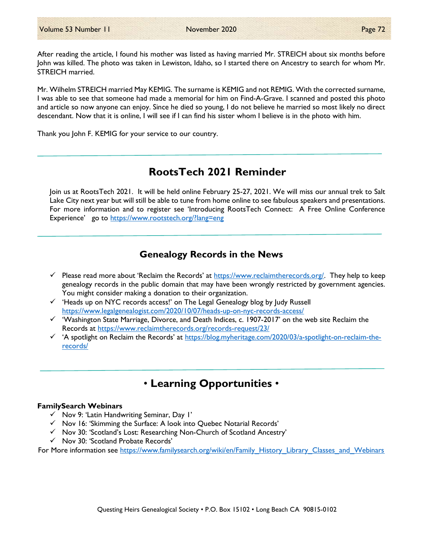After reading the article, I found his mother was listed as having married Mr. STREICH about six months before John was killed. The photo was taken in Lewiston, Idaho, so I started there on Ancestry to search for whom Mr. STREICH married.

Mr. Wilhelm STREICH married May KEMIG. The surname is KEMIG and not REMIG. With the corrected surname, I was able to see that someone had made a memorial for him on Find-A-Grave. I scanned and posted this photo and article so now anyone can enjoy. Since he died so young, I do not believe he married so most likely no direct descendant. Now that it is online, I will see if I can find his sister whom I believe is in the photo with him.

Thank you John F. KEMIG for your service to our country.

## RootsTech 2021 Reminder

Join us at RootsTech 2021. It will be held online February 25-27, 2021. We will miss our annual trek to Salt Lake City next year but will still be able to tune from home online to see fabulous speakers and presentations. For more information and to register see 'Introducing RootsTech Connect: A Free Online Conference Experience' go to https://www.rootstech.org/?lang=eng

## Genealogy Records in the News

- Please read more about 'Reclaim the Records' at  $\frac{h_\text{t}}{h_\text{t}}$  https://www.reclaimtherecords.org/. They help to keep genealogy records in the public domain that may have been wrongly restricted by government agencies. You might consider making a donation to their organization.
- $\checkmark$  'Heads up on NYC records access!' on The Legal Genealogy blog by Judy Russell https://www.legalgenealogist.com/2020/10/07/heads-up-on-nyc-records-access/
- $\checkmark$  'Washington State Marriage, Divorce, and Death Indices, c. 1907-2017' on the web site Reclaim the Records at https://www.reclaimtherecords.org/records-request/23/
- $\checkmark$  'A spotlight on Reclaim the Records' at https://blog.myheritage.com/2020/03/a-spotlight-on-reclaim-therecords/

## • Learning Opportunities •

#### FamilySearch Webinars

- $\checkmark$  Nov 9: 'Latin Handwriting Seminar, Day I'
- $\checkmark$  Nov 16: 'Skimming the Surface: A look into Quebec Notarial Records'
- Nov 30: 'Scotland's Lost: Researching Non-Church of Scotland Ancestry'
- $\checkmark$  Nov 30: 'Scotland Probate Records'

For More information see https://www.familysearch.org/wiki/en/Family\_History\_Library\_Classes\_and\_Webinars